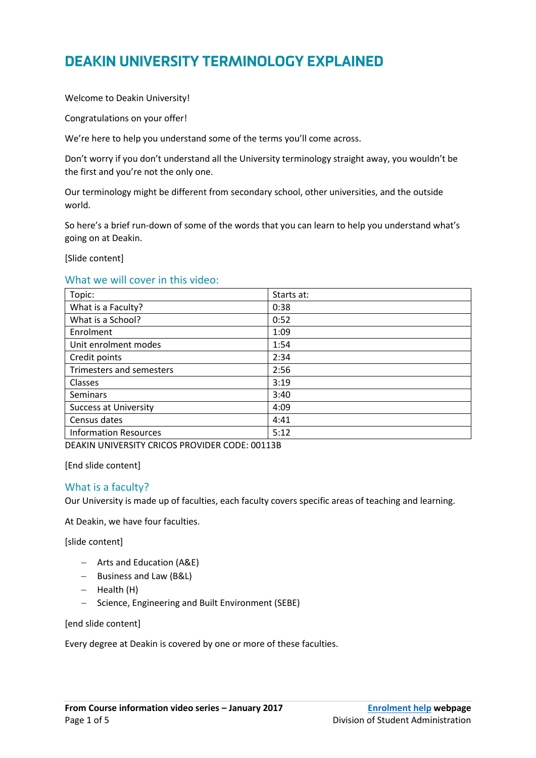# DEAKIN UNIVERSITY TERMINOLOGY EXPLAINED

Welcome to Deakin University!

Congratulations on your offer!

We're here to help you understand some of the terms you'll come across.

Don't worry if you don't understand all the University terminology straight away, you wouldn't be the first and you're not the only one.

Our terminology might be different from secondary school, other universities, and the outside world.

So here's a brief run-down of some of the words that you can learn to help you understand what's going on at Deakin.

[Slide content]

## What we will cover in this video:

| Topic:                       | Starts at: |
|------------------------------|------------|
| What is a Faculty?           | 0:38       |
| What is a School?            | 0:52       |
| Enrolment                    | 1:09       |
| Unit enrolment modes         | 1:54       |
| Credit points                | 2:34       |
| Trimesters and semesters     | 2:56       |
| Classes                      | 3:19       |
| <b>Seminars</b>              | 3:40       |
| <b>Success at University</b> | 4:09       |
| Census dates                 | 4:41       |
| <b>Information Resources</b> | 5:12       |

DEAKIN UNIVERSITY CRICOS PROVIDER CODE: 00113B

[End slide content]

### What is a faculty?

Our University is made up of faculties, each faculty covers specific areas of teaching and learning.

At Deakin, we have four faculties.

[slide content]

- Arts and Education (A&E)
- Business and Law (B&L)
- $-$  Health (H)
- Science, Engineering and Built Environment (SEBE)

[end slide content]

Every degree at Deakin is covered by one or more of these faculties.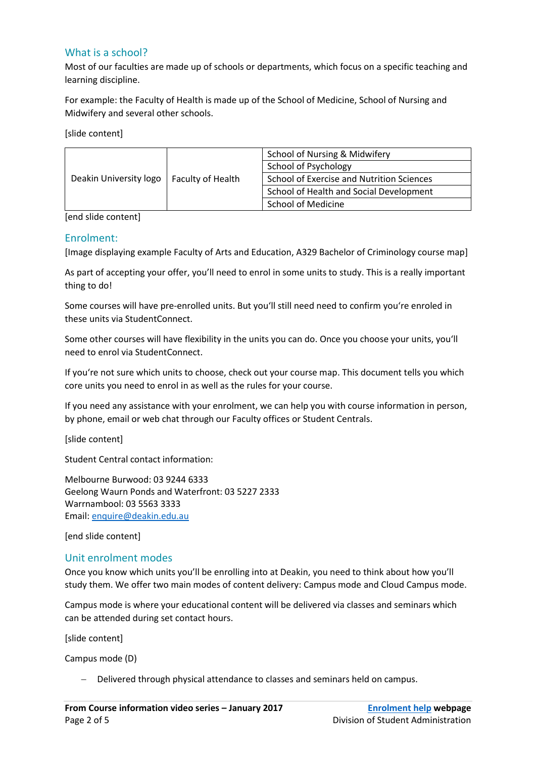# What is a school?

Most of our faculties are made up of schools or departments, which focus on a specific teaching and learning discipline.

For example: the Faculty of Health is made up of the School of Medicine, School of Nursing and Midwifery and several other schools.

[slide content]

| Deakin University logo | <b>Faculty of Health</b> | School of Nursing & Midwifery                    |  |
|------------------------|--------------------------|--------------------------------------------------|--|
|                        |                          | School of Psychology                             |  |
|                        |                          | <b>School of Exercise and Nutrition Sciences</b> |  |
|                        |                          | School of Health and Social Development          |  |
|                        |                          | School of Medicine                               |  |

[end slide content]

### Enrolment:

[Image displaying example Faculty of Arts and Education, A329 Bachelor of Criminology course map]

As part of accepting your offer, you'll need to enrol in some units to study. This is a really important thing to do!

Some courses will have pre-enrolled units. But you'll still need need to confirm you're enroled in these units via StudentConnect.

Some other courses will have flexibility in the units you can do. Once you choose your units, you'll need to enrol via StudentConnect.

If you're not sure which units to choose, check out your course map. This document tells you which core units you need to enrol in as well as the rules for your course.

If you need any assistance with your enrolment, we can help you with course information in person, by phone, email or web chat through our Faculty offices or Student Centrals.

[slide content]

Student Central contact information:

Melbourne Burwood: 03 9244 6333 Geelong Waurn Ponds and Waterfront: 03 5227 2333 Warrnambool: 03 5563 3333 Email: [enquire@deakin.edu.au](mailto:enquire@deakin.edu.au)

[end slide content]

## Unit enrolment modes

Once you know which units you'll be enrolling into at Deakin, you need to think about how you'll study them. We offer two main modes of content delivery: Campus mode and Cloud Campus mode.

Campus mode is where your educational content will be delivered via classes and seminars which can be attended during set contact hours.

[slide content]

Campus mode (D)

Delivered through physical attendance to classes and seminars held on campus.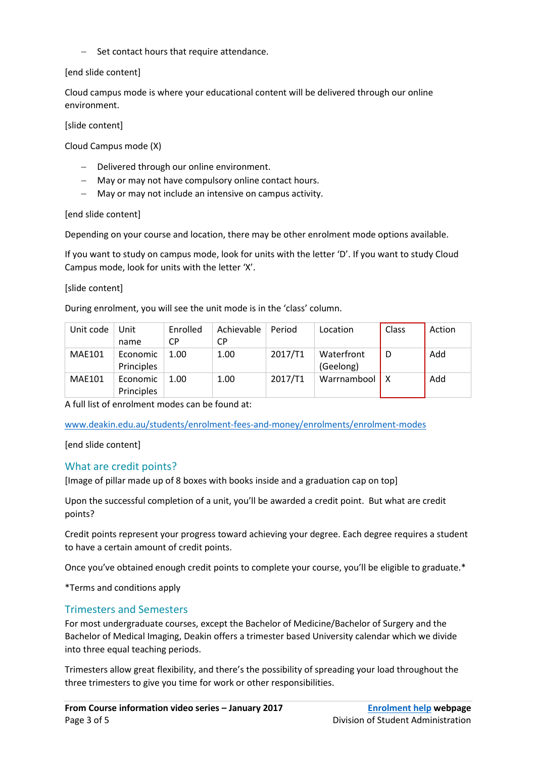$-$  Set contact hours that require attendance.

## [end slide content]

Cloud campus mode is where your educational content will be delivered through our online environment.

### [slide content]

Cloud Campus mode (X)

- Delivered through our online environment.
- May or may not have compulsory online contact hours.
- May or may not include an intensive on campus activity.

[end slide content]

Depending on your course and location, there may be other enrolment mode options available.

If you want to study on campus mode, look for units with the letter 'D'. If you want to study Cloud Campus mode, look for units with the letter 'X'.

[slide content]

During enrolment, you will see the unit mode is in the 'class' column.

| Unit code     | Unit       | Enrolled  | Achievable | Period  | Location    | Class | Action |
|---------------|------------|-----------|------------|---------|-------------|-------|--------|
|               | name       | <b>CP</b> | СP         |         |             |       |        |
| <b>MAE101</b> | Economic   | 1.00      | 1.00       | 2017/T1 | Waterfront  | D     | Add    |
|               | Principles |           |            |         | (Geelong)   |       |        |
| <b>MAE101</b> | Economic   | 1.00      | 1.00       | 2017/T1 | Warrnambool | 1 X   | Add    |
|               | Principles |           |            |         |             |       |        |

A full list of enrolment modes can be found at:

[www.deakin.edu.au/students/enrolment-fees-and-money/enrolments/enrolment-modes](http://www.deakin.edu.au/students/enrolment-fees-and-money/enrolments/enrolment-modes)

[end slide content]

# What are credit points?

[Image of pillar made up of 8 boxes with books inside and a graduation cap on top]

Upon the successful completion of a unit, you'll be awarded a credit point. But what are credit points?

Credit points represent your progress toward achieving your degree. Each degree requires a student to have a certain amount of credit points.

Once you've obtained enough credit points to complete your course, you'll be eligible to graduate.\*

\*Terms and conditions apply

# Trimesters and Semesters

For most undergraduate courses, except the Bachelor of Medicine/Bachelor of Surgery and the Bachelor of Medical Imaging, Deakin offers a trimester based University calendar which we divide into three equal teaching periods.

Trimesters allow great flexibility, and there's the possibility of spreading your load throughout the three trimesters to give you time for work or other responsibilities.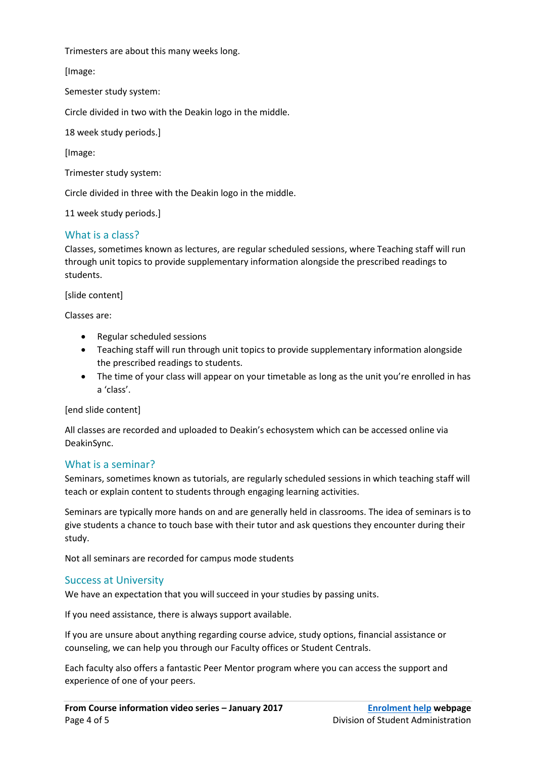Trimesters are about this many weeks long.

[Image:

Semester study system:

Circle divided in two with the Deakin logo in the middle.

18 week study periods.]

[Image:

Trimester study system:

Circle divided in three with the Deakin logo in the middle.

11 week study periods.]

## What is a class?

Classes, sometimes known as lectures, are regular scheduled sessions, where Teaching staff will run through unit topics to provide supplementary information alongside the prescribed readings to students.

[slide content]

Classes are:

- Regular scheduled sessions
- Teaching staff will run through unit topics to provide supplementary information alongside the prescribed readings to students.
- The time of your class will appear on your timetable as long as the unit you're enrolled in has a 'class'.

[end slide content]

All classes are recorded and uploaded to Deakin's echosystem which can be accessed online via DeakinSync.

## What is a seminar?

Seminars, sometimes known as tutorials, are regularly scheduled sessions in which teaching staff will teach or explain content to students through engaging learning activities.

Seminars are typically more hands on and are generally held in classrooms. The idea of seminars is to give students a chance to touch base with their tutor and ask questions they encounter during their study.

Not all seminars are recorded for campus mode students

## Success at University

We have an expectation that you will succeed in your studies by passing units.

If you need assistance, there is always support available.

If you are unsure about anything regarding course advice, study options, financial assistance or counseling, we can help you through our Faculty offices or Student Centrals.

Each faculty also offers a fantastic Peer Mentor program where you can access the support and experience of one of your peers.